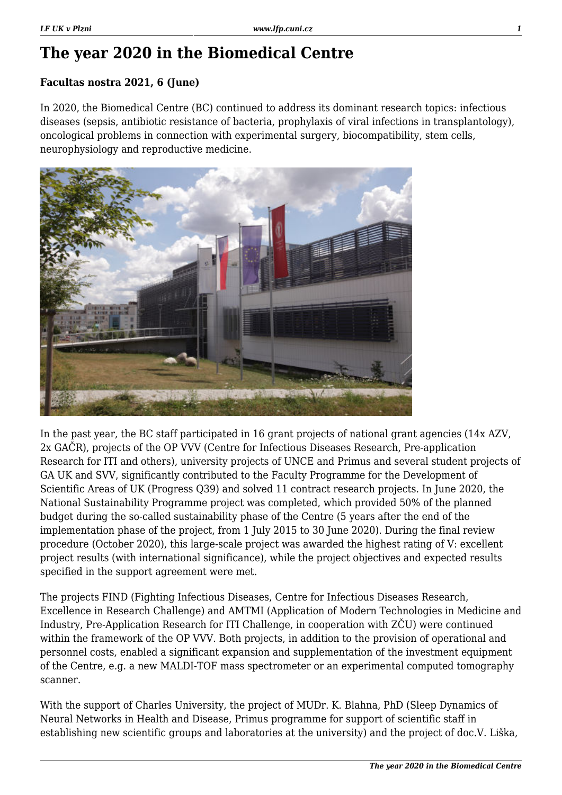## **The year 2020 in the Biomedical Centre**

## **Facultas nostra 2021, 6 (June)**

In 2020, the Biomedical Centre (BC) continued to address its dominant research topics: infectious diseases (sepsis, antibiotic resistance of bacteria, prophylaxis of viral infections in transplantology), oncological problems in connection with experimental surgery, biocompatibility, stem cells, neurophysiology and reproductive medicine.



In the past year, the BC staff participated in 16 grant projects of national grant agencies (14x AZV, 2x GAČR), projects of the OP VVV (Centre for Infectious Diseases Research, Pre-application Research for ITI and others), university projects of UNCE and Primus and several student projects of GA UK and SVV, significantly contributed to the Faculty Programme for the Development of Scientific Areas of UK (Progress Q39) and solved 11 contract research projects. In June 2020, the National Sustainability Programme project was completed, which provided 50% of the planned budget during the so-called sustainability phase of the Centre (5 years after the end of the implementation phase of the project, from 1 July 2015 to 30 June 2020). During the final review procedure (October 2020), this large-scale project was awarded the highest rating of V: excellent project results (with international significance), while the project objectives and expected results specified in the support agreement were met.

The projects FIND (Fighting Infectious Diseases, Centre for Infectious Diseases Research, Excellence in Research Challenge) and AMTMI (Application of Modern Technologies in Medicine and Industry, Pre-Application Research for ITI Challenge, in cooperation with ZČU) were continued within the framework of the OP VVV. Both projects, in addition to the provision of operational and personnel costs, enabled a significant expansion and supplementation of the investment equipment of the Centre, e.g. a new MALDI-TOF mass spectrometer or an experimental computed tomography scanner.

With the support of Charles University, the project of MUDr. K. Blahna, PhD (Sleep Dynamics of Neural Networks in Health and Disease, Primus programme for support of scientific staff in establishing new scientific groups and laboratories at the university) and the project of doc.V. Liška,